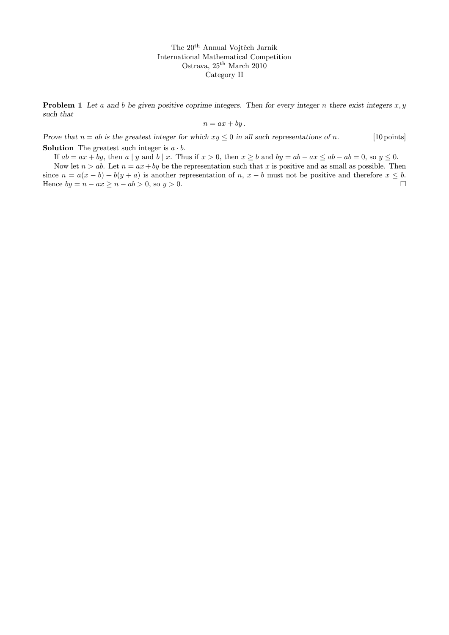**Problem 1** Let a and b be given positive coprime integers. Then for every integer n there exist integers  $x, y$ such that

$$
n = ax + by.
$$

Prove that  $n = ab$  is the greatest integer for which  $xy \le 0$  in all such representations of n. [10 points] **Solution** The greatest such integer is  $a \cdot b$ .

If  $ab = ax + by$ , then  $a \mid y$  and  $b \mid x$ . Thus if  $x > 0$ , then  $x \ge b$  and  $by = ab - ax \le ab - ab = 0$ , so  $y \le 0$ .

Now let  $n > ab$ . Let  $n = ax + by$  be the representation such that x is positive and as small as possible. Then since  $n = a(x - b) + b(y + a)$  is another representation of n,  $x - b$  must not be positive and therefore  $x \leq b$ . Hence  $by = n - ax \geq n - ab > 0$ , so  $y > 0$ .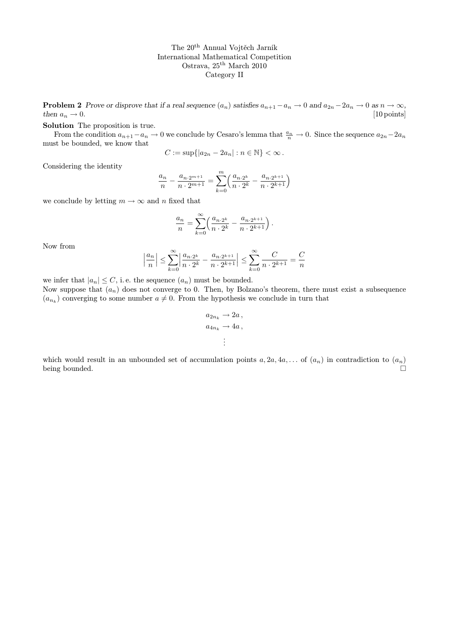**Problem 2** Prove or disprove that if a real sequence  $(a_n)$  satisfies  $a_{n+1} - a_n \to 0$  and  $a_{2n} - 2a_n \to 0$  as  $n \to \infty$ , then  $a_n \to 0$ . [10 points] then  $a_n \to 0$ .

Solution The proposition is true.

From the condition  $a_{n+1}-a_n \to 0$  we conclude by Cesaro's lemma that  $\frac{a_n}{n} \to 0$ . Since the sequence  $a_{2n}-2a_n$ must be bounded, we know that

$$
C := \sup\{|a_{2n} - 2a_n| : n \in \mathbb{N}\} < \infty.
$$

Considering the identity

$$
\frac{a_n}{n} - \frac{a_{n \cdot 2^{m+1}}}{n \cdot 2^{m+1}} = \sum_{k=0}^m \left( \frac{a_{n \cdot 2^k}}{n \cdot 2^k} - \frac{a_{n \cdot 2^{k+1}}}{n \cdot 2^{k+1}} \right)
$$

we conclude by letting  $m \to \infty$  and n fixed that

$$
\frac{a_n}{n} = \sum_{k=0}^{\infty} \left( \frac{a_{n \cdot 2^k}}{n \cdot 2^k} - \frac{a_{n \cdot 2^{k+1}}}{n \cdot 2^{k+1}} \right).
$$

Now from

$$
\left|\frac{a_n}{n}\right| \leq \sum_{k=0}^\infty \left|\frac{a_{n\cdot 2^k}}{n\cdot 2^k}-\frac{a_{n\cdot 2^{k+1}}}{n\cdot 2^{k+1}}\right| \leq \sum_{k=0}^\infty \frac{C}{n\cdot 2^{k+1}}=\frac{C}{n}
$$

we infer that  $|a_n| \leq C$ , i.e. the sequence  $(a_n)$  must be bounded.

Now suppose that  $(a_n)$  does not converge to 0. Then, by Bolzano's theorem, there must exist a subsequence  $(a_{n_k})$  converging to some number  $a \neq 0$ . From the hypothesis we conclude in turn that

$$
a_{2n_k} \to 2a,
$$
  

$$
a_{4n_k} \to 4a,
$$
  

$$
\vdots
$$

which would result in an unbounded set of accumulation points  $a, 2a, 4a, \ldots$  of  $(a_n)$  in contradiction to  $(a_n)$ being bounded.  $\square$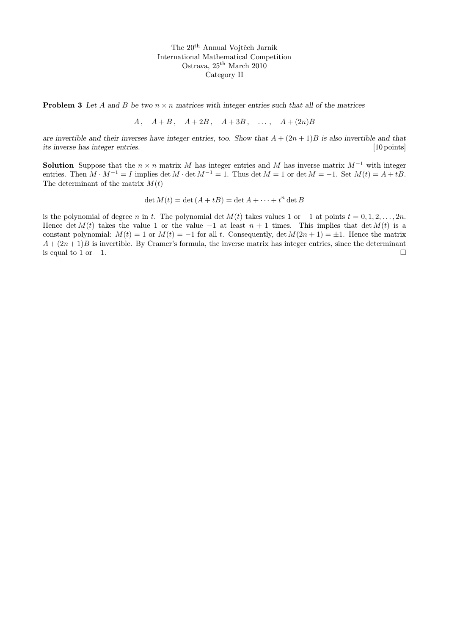**Problem 3** Let A and B be two  $n \times n$  matrices with integer entries such that all of the matrices

$$
A, \quad A+B, \quad A+2B, \quad A+3B, \quad \dots, \quad A+(2n)B
$$

are invertible and their inverses have integer entries, too. Show that  $A + (2n + 1)B$  is also invertible and that its inverse has integer entries. [10 points]

**Solution** Suppose that the  $n \times n$  matrix M has integer entries and M has inverse matrix  $M^{-1}$  with integer entries. Then  $M \cdot M^{-1} = I$  implies det  $M \cdot \det M^{-1} = 1$ . Thus det  $M = 1$  or det  $M = -1$ . Set  $M(t) = A + tB$ . The determinant of the matrix  $M(t)$ 

$$
\det M(t) = \det (A + tB) = \det A + \dots + t^n \det B
$$

is the polynomial of degree n in t. The polynomial det  $M(t)$  takes values 1 or  $-1$  at points  $t = 0, 1, 2, \ldots, 2n$ . Hence det  $M(t)$  takes the value 1 or the value -1 at least  $n + 1$  times. This implies that det  $M(t)$  is a constant polynomial:  $M(t) = 1$  or  $M(t) = -1$  for all t. Consequently, det  $M(2n + 1) = \pm 1$ . Hence the matrix  $A + (2n + 1)B$  is invertible. By Cramer's formula, the inverse matrix has integer entries, since the determinant is equal to 1 or  $-1$ .